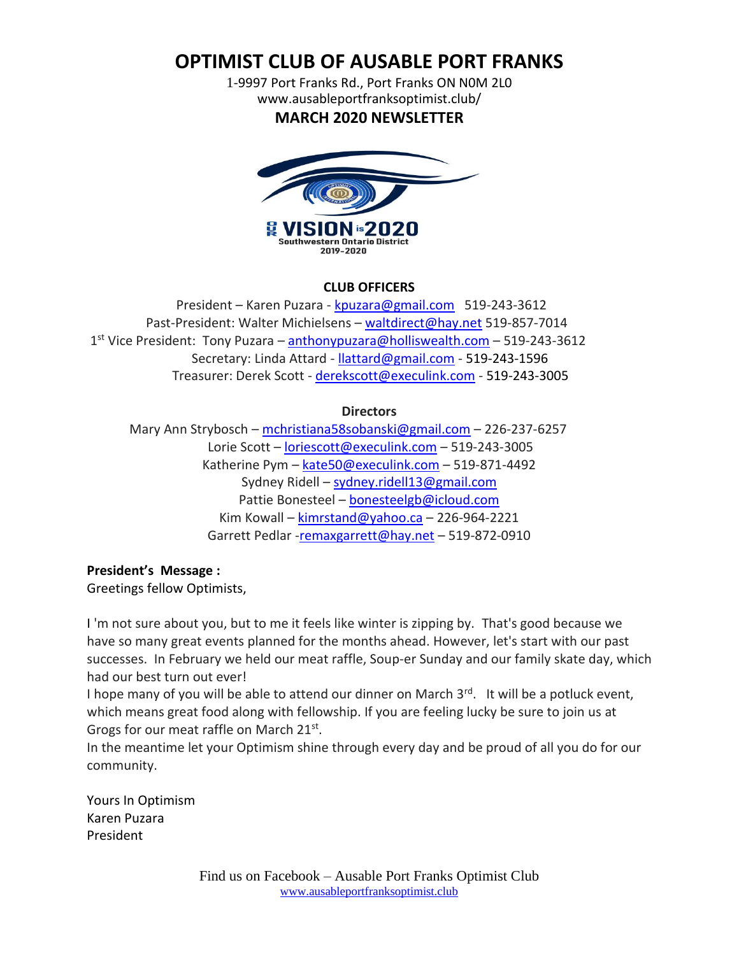**OPTIMIST CLUB OF AUSABLE PORT FRANKS**

1-9997 Port Franks Rd., Port Franks ON N0M 2L0 www.ausableportfranksoptimist.club/

**MARCH 2020 NEWSLETTER**



## **CLUB OFFICERS**

 President – Karen Puzara - [kpuzara@gmail.com](mailto:kpuzara@gmail.com) 519-243-3612 Past-President: Walter Michielsens – [waltdirect@hay.net](../Newsletters%202016/waltdirect@hay.net) 519-857-7014 1<sup>st</sup> Vice President: Tony Puzara – **[anthonypuzara@holliswealth.com](../Newsletters%202016/anthonypuzara@holliswealth.com)** – 519-243-3612 Secretary: Linda Attard - [llattard@gmail.com](mailto:llattard@gmail.com) - 519-243-1596 Treasurer: Derek Scott - [derekscott@execulink.com](../Newsletters%202016/derekscott@execulink.com) - 519-243-3005

**Directors**

 Mary Ann Strybosch – [mchristiana58sobanski@gmail.com](mailto:mchristiana58sobanski@gmail.com) – 226-237-6257 Lorie Scott – [loriescott@execulink.com](mailto:loriescott@execulink.com) – 519-243-3005 Katherine Pym – [kate50@execulink.com](mailto:kate50@execulink.com) – 519-871-4492 Sydney Ridell – [sydney.ridell13@gmail.com](mailto:sydney.ridell13@gmail.com) Pattie Bonesteel – [bonesteelgb@icloud.com](mailto:bonesteelgb@icloud.com) Kim Kowall – [kimrstand@yahoo.ca](mailto:kimrstand@yahoo.ca) – 226-964-2221 Garrett Pedlar [-remaxgarrett@hay.net](../Newsletters%202016/remaxgarrett@hay.net) – 519-872-0910

# **President's Message :**

Greetings fellow Optimists,

I 'm not sure about you, but to me it feels like winter is zipping by. That's good because we have so many great events planned for the months ahead. However, let's start with our past successes. In February we held our meat raffle, Soup-er Sunday and our family skate day, which had our best turn out ever!

I hope many of you will be able to attend our dinner on March  $3<sup>rd</sup>$ . It will be a potluck event, which means great food along with fellowship. If you are feeling lucky be sure to join us at Grogs for our meat raffle on March 21st.

In the meantime let your Optimism shine through every day and be proud of all you do for our community.

Yours In Optimism Karen Puzara President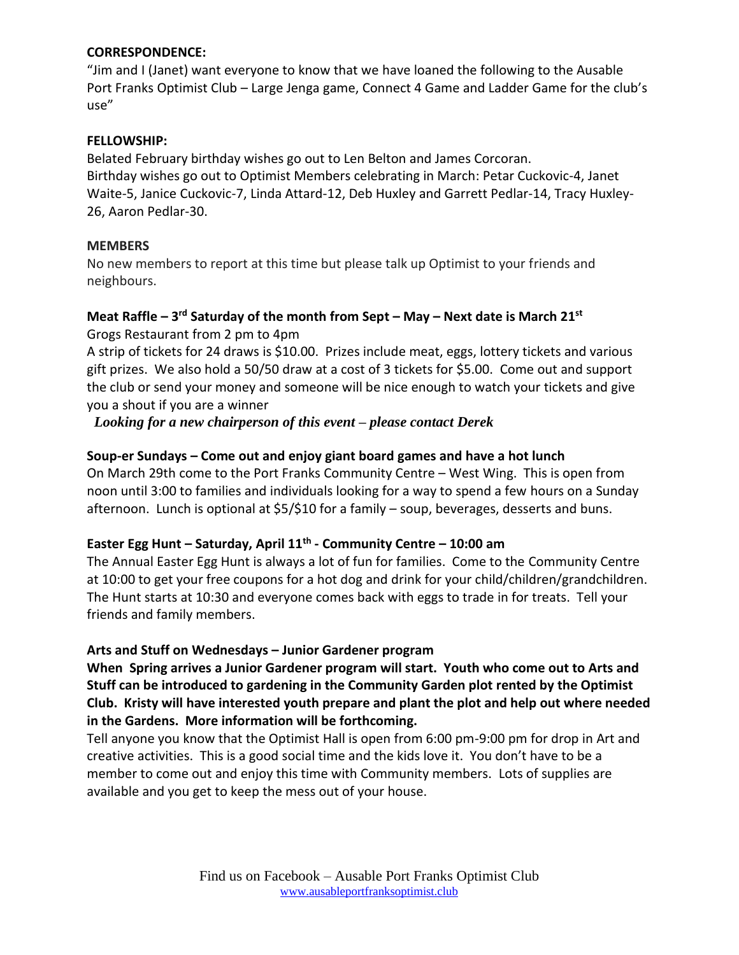## **CORRESPONDENCE:**

"Jim and I (Janet) want everyone to know that we have loaned the following to the Ausable Port Franks Optimist Club – Large Jenga game, Connect 4 Game and Ladder Game for the club's use"

## **FELLOWSHIP:**

Belated February birthday wishes go out to Len Belton and James Corcoran. Birthday wishes go out to Optimist Members celebrating in March: Petar Cuckovic-4, Janet Waite-5, Janice Cuckovic-7, Linda Attard-12, Deb Huxley and Garrett Pedlar-14, Tracy Huxley-26, Aaron Pedlar-30.

## **MEMBERS**

No new members to report at this time but please talk up Optimist to your friends and neighbours.

## **Meat Raffle – 3 rd Saturday of the month from Sept – May – Next date is March 21st** Grogs Restaurant from 2 pm to 4pm

A strip of tickets for 24 draws is \$10.00. Prizes include meat, eggs, lottery tickets and various gift prizes. We also hold a 50/50 draw at a cost of 3 tickets for \$5.00. Come out and support the club or send your money and someone will be nice enough to watch your tickets and give you a shout if you are a winner

*Looking for a new chairperson of this event – please contact Derek*

## **Soup-er Sundays – Come out and enjoy giant board games and have a hot lunch**

On March 29th come to the Port Franks Community Centre – West Wing. This is open from noon until 3:00 to families and individuals looking for a way to spend a few hours on a Sunday afternoon. Lunch is optional at \$5/\$10 for a family – soup, beverages, desserts and buns.

## **Easter Egg Hunt – Saturday, April 11th - Community Centre – 10:00 am**

The Annual Easter Egg Hunt is always a lot of fun for families. Come to the Community Centre at 10:00 to get your free coupons for a hot dog and drink for your child/children/grandchildren. The Hunt starts at 10:30 and everyone comes back with eggs to trade in for treats. Tell your friends and family members.

## **Arts and Stuff on Wednesdays – Junior Gardener program**

**When Spring arrives a Junior Gardener program will start. Youth who come out to Arts and Stuff can be introduced to gardening in the Community Garden plot rented by the Optimist Club. Kristy will have interested youth prepare and plant the plot and help out where needed in the Gardens. More information will be forthcoming.**

Tell anyone you know that the Optimist Hall is open from 6:00 pm-9:00 pm for drop in Art and creative activities. This is a good social time and the kids love it. You don't have to be a member to come out and enjoy this time with Community members. Lots of supplies are available and you get to keep the mess out of your house.